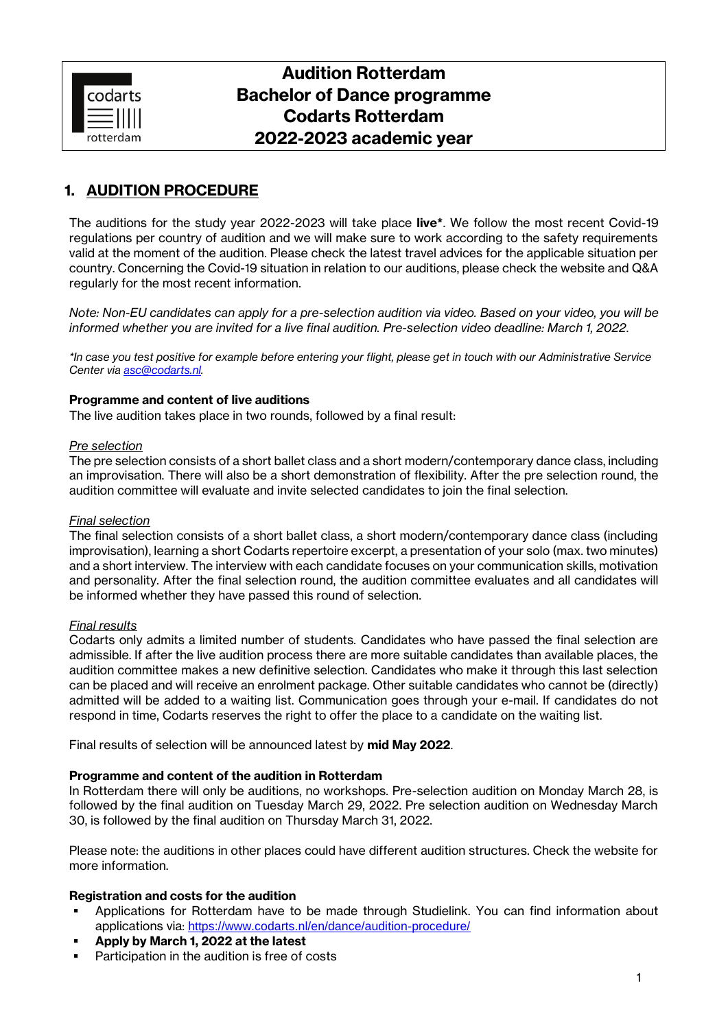

# **Audition Rotterdam Bachelor of Dance programme Codarts Rotterdam 2022-2023 academic year**

## **1. AUDITION PROCEDURE**

The auditions for the study year 2022-2023 will take place **live\***. We follow the most recent Covid-19 regulations per country of audition and we will make sure to work according to the safety requirements valid at the moment of the audition. Please check the latest travel advices for the applicable situation per country. Concerning the Covid-19 situation in relation to our auditions, please check the website and Q&A regularly for the most recent information.

*Note: Non-EU candidates can apply for a pre-selection audition via video. Based on your video, you will be informed whether you are invited for a live final audition. Pre-selection video deadline: March 1, 2022*.

*\*In case you test positive for example before entering your flight, please get in touch with our Administrative Service Center via [asc@codarts.nl.](mailto:asc@codarts.nl)*

#### **Programme and content of live auditions**

The live audition takes place in two rounds, followed by a final result:

#### *Pre selection*

The pre selection consists of a short ballet class and a short modern/contemporary dance class, including an improvisation. There will also be a short demonstration of flexibility. After the pre selection round, the audition committee will evaluate and invite selected candidates to join the final selection.

#### *Final selection*

The final selection consists of a short ballet class, a short modern/contemporary dance class (including improvisation), learning a short Codarts repertoire excerpt, a presentation of your solo (max. two minutes) and a short interview. The interview with each candidate focuses on your communication skills, motivation and personality. After the final selection round, the audition committee evaluates and all candidates will be informed whether they have passed this round of selection.

#### *Final results*

Codarts only admits a limited number of students. Candidates who have passed the final selection are admissible. If after the live audition process there are more suitable candidates than available places, the audition committee makes a new definitive selection. Candidates who make it through this last selection can be placed and will receive an enrolment package. Other suitable candidates who cannot be (directly) admitted will be added to a waiting list. Communication goes through your e-mail. If candidates do not respond in time, Codarts reserves the right to offer the place to a candidate on the waiting list.

Final results of selection will be announced latest by **mid May 2022**.

#### **Programme and content of the audition in Rotterdam**

In Rotterdam there will only be auditions, no workshops. Pre-selection audition on Monday March 28, is followed by the final audition on Tuesday March 29, 2022. Pre selection audition on Wednesday March 30, is followed by the final audition on Thursday March 31, 2022.

Please note: the auditions in other places could have different audition structures. Check the website for more information.

#### **Registration and costs for the audition**

- Applications for Rotterdam have to be made through Studielink. You can find information about applications via: <https://www.codarts.nl/en/dance/audition-procedure/>
- **Apply by March 1, 2022 at the latest**
- Participation in the audition is free of costs